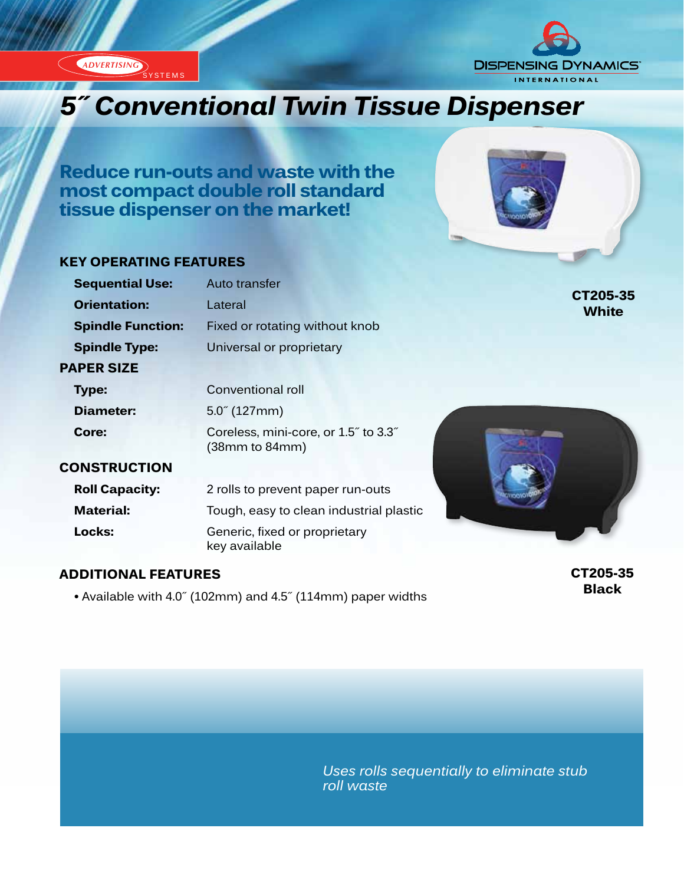**ADVERTISING** SYSTEMS



# *5˝ Conventional Twin Tissue Dispenser*

**Reduce run-outs and waste with the most compact double roll standard tissue dispenser on the market!**

#### **KEY OPERATING FEATURES**

| <b>Sequential Use:</b>   | Auto transfer                                          |                          |
|--------------------------|--------------------------------------------------------|--------------------------|
| <b>Orientation:</b>      | Lateral                                                | CT205-35<br><b>White</b> |
| <b>Spindle Function:</b> | Fixed or rotating without knob                         |                          |
| <b>Spindle Type:</b>     | Universal or proprietary                               |                          |
| <b>PAPER SIZE</b>        |                                                        |                          |
| <b>Type:</b>             | Conventional roll                                      |                          |
| Diameter:                | $5.0^{\circ}$ (127mm)                                  |                          |
| Core:                    | Coreless, mini-core, or 1.5" to 3.3"<br>(38mm to 84mm) |                          |
| <b>CONSTRUCTION</b>      |                                                        |                          |
| <b>Roll Capacity:</b>    | 2 rolls to prevent paper run-outs                      |                          |
| <b>Material:</b>         | Tough, easy to clean industrial plastic                |                          |
| Locks:                   | Generic, fixed or proprietary<br>key available         |                          |
|                          |                                                        |                          |

#### **ADDITIONAL FEATURES**

 **•** Available with 4.0˝ (102mm) and 4.5˝ (114mm) paper widths

**CT205-35 Black**

*Uses rolls sequentially to eliminate stub roll waste*